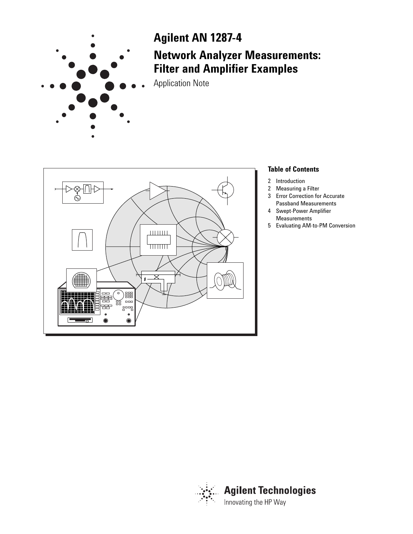

# **Agilent AN 1287-4 Network Analyzer Measurements: Filter and Amplifier Examples**

Application Note



#### **Table of Contents**

- 2 Introduction<br>2 Measuring a
- **Measuring a Filter**
- 3 Error Correction for Accurate
- Passband Measurements 4 Swept-Power Amplifier
	- Measurements
- 5 Evaluating AM-to-PM Conversion

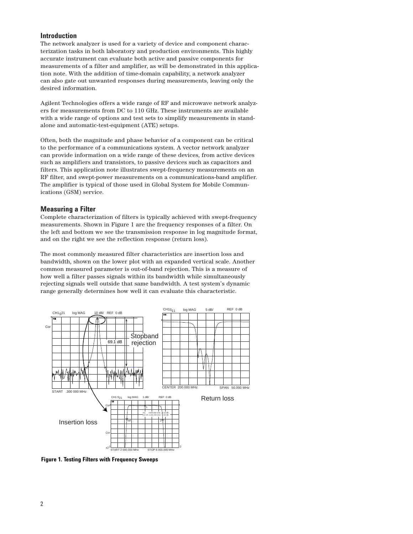#### **Introduction**

The network analyzer is used for a variety of device and component characterization tasks in both laboratory and production environments. This highly accurate instrument can evaluate both active and passive components for measurements of a filter and amplifier, as will be demonstrated in this application note. With the addition of time-domain capability, a network analyzer can also gate out unwanted responses during measurements, leaving only the desired information.

Agilent Technologies offers a wide range of RF and microwave network analyzers for measurements from DC to 110 GHz. These instruments are available with a wide range of options and test sets to simplify measurements in standalone and automatic-test-equipment (ATE) setups.

Often, both the magnitude and phase behavior of a component can be critical to the performance of a communications system. A vector network analyzer can provide information on a wide range of these devices, from active devices such as amplifiers and transistors, to passive devices such as capacitors and filters. This application note illustrates swept-frequency measurements on an RF filter, and swept-power measurements on a communications-band amplifier. The amplifier is typical of those used in Global System for Mobile Communications (GSM) service.

#### **Measuring a Filter**

Complete characterization of filters is typically achieved with swept-frequency measurements. Shown in Figure 1 are the frequency responses of a filter. On the left and bottom we see the transmission response in log magnitude format, and on the right we see the reflection response (return loss).

The most commonly measured filter characteristics are insertion loss and bandwidth, shown on the lower plot with an expanded vertical scale. Another common measured parameter is out-of-band rejection. This is a measure of how well a filter passes signals within its bandwidth while simultaneously rejecting signals well outside that same bandwidth. A test system's dynamic range generally determines how well it can evaluate this characteristic.



**Figure 1. Testing Filters with Frequency Sweeps**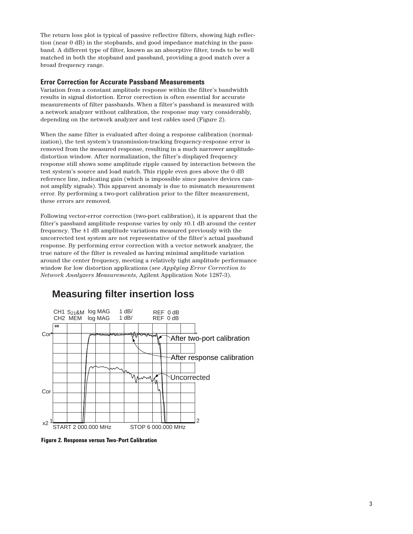The return loss plot is typical of passive reflective filters, showing high reflection (near 0 dB) in the stopbands, and good impedance matching in the passband. A different type of filter, known as an absorptive filter, tends to be well matched in both the stopband and passband, providing a good match over a broad frequency range.

#### **Error Correction for Accurate Passband Measurements**

Variation from a constant amplitude response within the filter's bandwidth results in signal distortion. Error correction is often essential for accurate measurements of filter passbands. When a filter's passband is measured with a network analyzer without calibration, the response may vary considerably, depending on the network analyzer and test cables used (Figure 2).

When the same filter is evaluated after doing a response calibration (normalization), the test system's transmission-tracking frequency-response error is removed from the measured response, resulting in a much narrower amplitudedistortion window. After normalization, the filter's displayed frequency response still shows some amplitude ripple caused by interaction between the test system's source and load match. This ripple even goes above the 0 dB reference line, indicating gain (which is impossible since passive devices cannot amplify signals). This apparent anomaly is due to mismatch measurement error. By performing a two-port calibration prior to the filter measurement, these errors are removed.

Following vector-error correction (two-port calibration), it is apparent that the filter's passband amplitude response varies by only ±0.1 dB around the center frequency. The ±1 dB amplitude variations measured previously with the uncorrected test system are not representative of the filter's actual passband response. By performing error correction with a vector network analyzer, the true nature of the filter is revealed as having minimal amplitude variation around the center frequency, meeting a relatively tight amplitude performance window for low distortion applications (see *Applying Error Correction to Network Analyzers Measurements*, Agilent Application Note 1287-3).



### **Measuring filter insertion loss**

**Figure 2. Response versus Two-Port Calibration**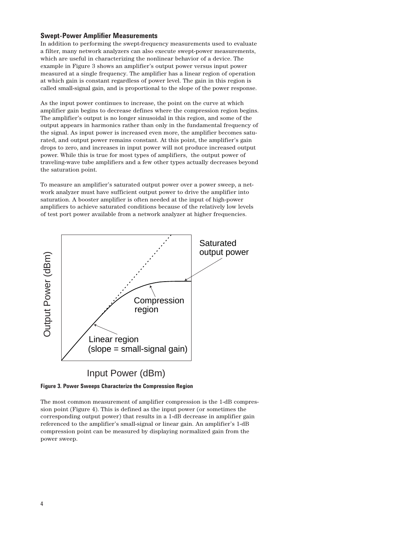#### **Swept-Power Amplifier Measurements**

In addition to performing the swept-frequency measurements used to evaluate a filter, many network analyzers can also execute swept-power measurements, which are useful in characterizing the nonlinear behavior of a device. The example in Figure 3 shows an amplifier's output power versus input power measured at a single frequency. The amplifier has a linear region of operation at which gain is constant regardless of power level. The gain in this region is called small-signal gain, and is proportional to the slope of the power response.

As the input power continues to increase, the point on the curve at which amplifier gain begins to decrease defines where the compression region begins. The amplifier's output is no longer sinusoidal in this region, and some of the output appears in harmonics rather than only in the fundamental frequency of the signal. As input power is increased even more, the amplifier becomes saturated, and output power remains constant. At this point, the amplifier's gain drops to zero, and increases in input power will not produce increased output power. While this is true for most types of amplifiers, the output power of traveling-wave tube amplifiers and a few other types actually decreases beyond the saturation point.

To measure an amplifier's saturated output power over a power sweep, a network analyzer must have sufficient output power to drive the amplifier into saturation. A booster amplifier is often needed at the input of high-power amplifiers to achieve saturated conditions because of the relatively low levels of test port power available from a network analyzer at higher frequencies.



#### **Figure 3. Power Sweeps Characterize the Compression Region**

The most common measurement of amplifier compression is the 1-dB compression point (Figure 4). This is defined as the input power (or sometimes the corresponding output power) that results in a 1-dB decrease in amplifier gain referenced to the amplifier's small-signal or linear gain. An amplifier's 1-dB compression point can be measured by displaying normalized gain from the power sweep.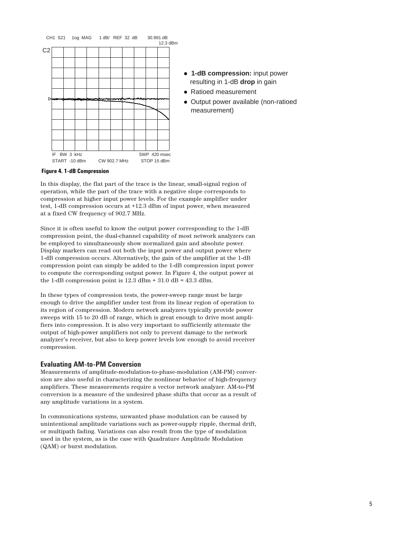

## **Figure 4. 1-dB Compression**

In this display, the flat part of the trace is the linear, small-signal region of operation, while the part of the trace with a negative slope corresponds to compression at higher input power levels. For the example amplifier under test, 1-dB compression occurs at +12.3 dBm of input power, when measured at a fixed CW frequency of 902.7 MHz.

Since it is often useful to know the output power corresponding to the 1-dB compression point, the dual-channel capability of most network analyzers can be employed to simultaneously show normalized gain and absolute power. Display markers can read out both the input power and output power where 1-dB compression occurs. Alternatively, the gain of the amplifier at the 1-dB compression point can simply be added to the 1-dB compression input power to compute the corresponding output power. In Figure 4, the output power at the 1-dB compression point is  $12.3$  dBm +  $31.0$  dB =  $43.3$  dBm.

In these types of compression tests, the power-sweep range must be large enough to drive the amplifier under test from its linear region of operation to its region of compression. Modern network analyzers typically provide power sweeps with 15 to 20 dB of range, which is great enough to drive most amplifiers into compression. It is also very important to sufficiently attenuate the output of high-power amplifiers not only to prevent damage to the network analyzer's receiver, but also to keep power levels low enough to avoid receiver compression.

#### **Evaluating AM-to-PM Conversion**

Measurements of amplitude-modulation-to-phase-modulation (AM-PM) conversion are also useful in characterizing the nonlinear behavior of high-frequency amplifiers. These measurements require a vector network analyzer. AM-to-PM conversion is a measure of the undesired phase shifts that occur as a result of any amplitude variations in a system.

In communications systems, unwanted phase modulation can be caused by unintentional amplitude variations such as power-supply ripple, thermal drift, or multipath fading. Variations can also result from the type of modulation used in the system, as is the case with Quadrature Amplitude Modulation (QAM) or burst modulation.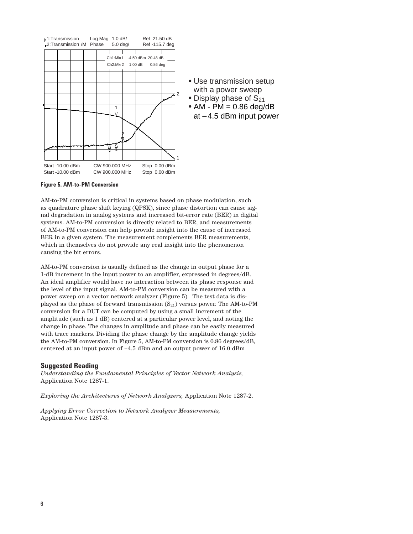

**Figure 5. AM-to-PM Conversion**

AM-to-PM conversion is critical in systems based on phase modulation, such as quadrature phase shift keying (QPSK), since phase distortion can cause signal degradation in analog systems and increased bit-error rate (BER) in digital systems. AM-to-PM conversion is directly related to BER, and measurements of AM-to-PM conversion can help provide insight into the cause of increased BER in a given system. The measurement complements BER measurements, which in themselves do not provide any real insight into the phenomenon causing the bit errors.

AM-to-PM conversion is usually defined as the change in output phase for a 1-dB increment in the input power to an amplifier, expressed in degrees/dB. An ideal amplifier would have no interaction between its phase response and the level of the input signal. AM-to-PM conversion can be measured with a power sweep on a vector network analyzer (Figure 5). The test data is displayed as the phase of forward transmission  $(S_{21})$  versus power. The AM-to-PM conversion for a DUT can be computed by using a small increment of the amplitude (such as 1 dB) centered at a particular power level, and noting the change in phase. The changes in amplitude and phase can be easily measured with trace markers. Dividing the phase change by the amplitude change yields the AM-to-PM conversion. In Figure 5, AM-to-PM conversion is 0.86 degrees/dB, centered at an input power of –4.5 dBm and an output power of 16.0 dBm

#### **Suggested Reading**

*Understanding the Fundamental Principles of Vector Network Analysis,* Application Note 1287-1.

*Exploring the Architectures of Network Analyzers,* Application Note 1287-2.

*Applying Error Correction to Network Analyzer Measurements,* Application Note 1287-3.